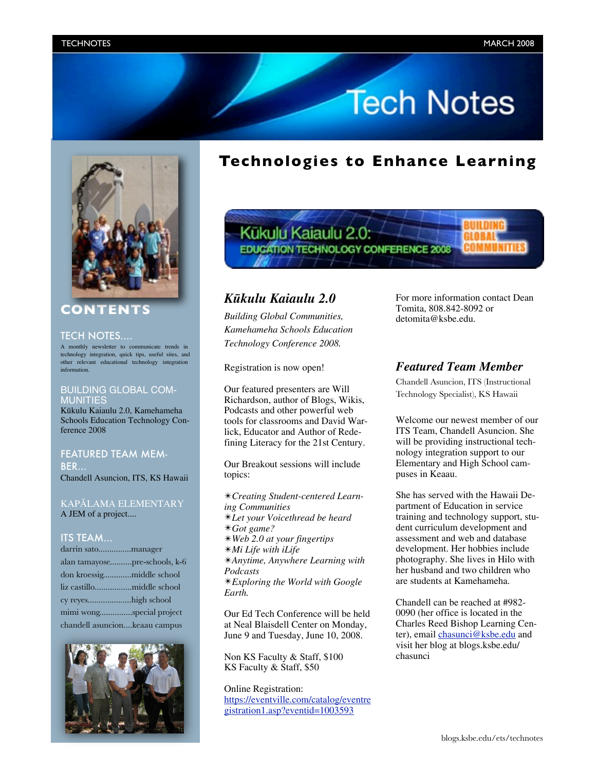# **Tech Notes**



### **CONTENTS**

#### TECH NOTES....

A monthly newsletter to communicate trends in technology integration, quick tips, useful sites, and other relevant educational technology integration information.

### BUILDING GLOBAL COM-*AUNITIES*

Kükulu Kaiaulu 2.0, Kamehameha Schools Education Technology Conference 2008

### FEATURED TEAM MEM-BER...

Chandell Asuncion, ITS, KS Hawaii

### KAPÄLAMA ELEMENTARY A JEM of a project....

### ITS TEAM...

| alan tamayosepre-schools, k-6 |
|-------------------------------|
| don kroessigmiddle school     |
|                               |
| cy reyeshigh school           |
| mimi wongspecial project      |
| chandell asuncionkeaau campus |



## **Technologies to Enhance Learning**



### *Kükulu Kaiaulu 2.0*

*Building Global Communities, Kamehameha Schools Education Technology Conference 2008.*

Registration is now open!

Our featured presenters are Will Richardson, author of Blogs, Wikis, Podcasts and other powerful web tools for classrooms and David Warlick, Educator and Author of Redefining Literacy for the 21st Century.

Our Breakout sessions will include topics:

✴*Creating Student-centered Learning Communities* ✴*Let your Voicethread be heard* ✴*Got game?* ✴*Web 2.0 at your fingertips* ✴*Mi Life with iLife* ✴*Anytime, Anywhere Learning with Podcasts*  ✴*Exploring the World with Google Earth.*

Our Ed Tech Conference will be held at Neal Blaisdell Center on Monday, June 9 and Tuesday, June 10, 2008.

Non KS Faculty & Staff, \$100 KS Faculty & Staff, \$50

Online Registration: [https://eventville.com/catalog/eventre](https:/eventville.com/catalog/eventregistration1asp?eventid=1003593) [gistration1.asp?eventid=1003593](https:/eventville.com/catalog/eventregistration1asp?eventid=1003593)

For more information contact Dean Tomita, 808.842-8092 or detomita@ksbe.edu.

### *Featured Team Member*

Chandell Asuncion, ITS (Instructional Technology Specialist), KS Hawaii

Welcome our newest member of our ITS Team, Chandell Asuncion. She will be providing instructional technology integration support to our Elementary and High School campuses in Keaau.

She has served with the Hawaii Department of Education in service training and technology support, student curriculum development and assessment and web and database development. Her hobbies include photography. She lives in Hilo with her husband and two children who are students at Kamehameha.

Chandell can be reached at #982- 0090 (her office is located in the Charles Reed Bishop Learning Center), email [chasunci@ksbe.edu](mailto:chasunci@ksbe.edu) and visit her blog at blogs.ksbe.edu/ chasunci